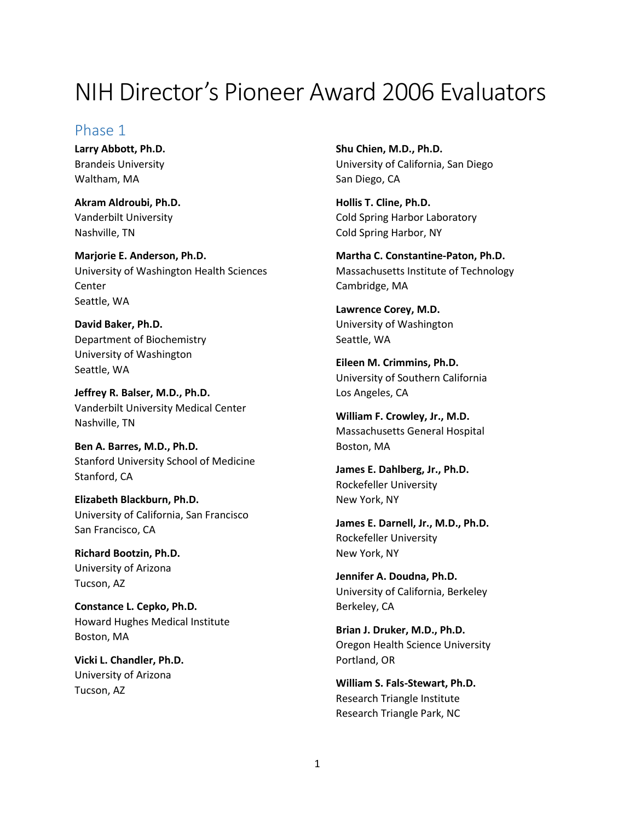# NIH Director's Pioneer Award 2006 Evaluators

### Phase 1

**Larry Abbott, Ph.D.** Brandeis University Waltham, MA

**Akram Aldroubi, Ph.D.** Vanderbilt University Nashville, TN

**Marjorie E. Anderson, Ph.D.** University of Washington Health Sciences **Center** Seattle, WA

**David Baker, Ph.D.** Department of Biochemistry University of Washington Seattle, WA

**Jeffrey R. Balser, M.D., Ph.D.** Vanderbilt University Medical Center Nashville, TN

**Ben A. Barres, M.D., Ph.D.** Stanford University School of Medicine Stanford, CA

**Elizabeth Blackburn, Ph.D.** University of California, San Francisco San Francisco, CA

**Richard Bootzin, Ph.D.** University of Arizona Tucson, AZ

**Constance L. Cepko, Ph.D.** Howard Hughes Medical Institute Boston, MA

**Vicki L. Chandler, Ph.D.** University of Arizona Tucson, AZ

**Shu Chien, M.D., Ph.D.** University of California, San Diego San Diego, CA

**Hollis T. Cline, Ph.D.** Cold Spring Harbor Laboratory Cold Spring Harbor, NY

**Martha C. Constantine-Paton, Ph.D.** Massachusetts Institute of Technology Cambridge, MA

**Lawrence Corey, M.D.** University of Washington Seattle, WA

**Eileen M. Crimmins, Ph.D.** University of Southern California Los Angeles, CA

**William F. Crowley, Jr., M.D.** Massachusetts General Hospital Boston, MA

**James E. Dahlberg, Jr., Ph.D.** Rockefeller University New York, NY

**James E. Darnell, Jr., M.D., Ph.D.** Rockefeller University New York, NY

**Jennifer A. Doudna, Ph.D.** University of California, Berkeley Berkeley, CA

**Brian J. Druker, M.D., Ph.D.** Oregon Health Science University Portland, OR

**William S. Fals-Stewart, Ph.D.** Research Triangle Institute Research Triangle Park, NC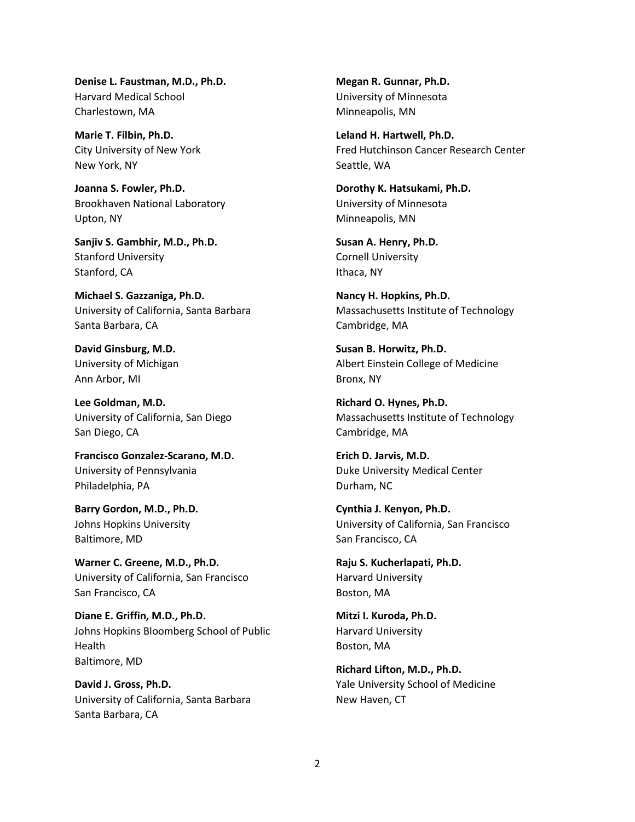**Denise L. Faustman, M.D., Ph.D.** Harvard Medical School Charlestown, MA

**Marie T. Filbin, Ph.D.** City University of New York New York, NY

**Joanna S. Fowler, Ph.D.** Brookhaven National Laboratory Upton, NY

**Sanjiv S. Gambhir, M.D., Ph.D.** Stanford University Stanford, CA

**Michael S. Gazzaniga, Ph.D.** University of California, Santa Barbara Santa Barbara, CA

**David Ginsburg, M.D.** University of Michigan Ann Arbor, MI

**Lee Goldman, M.D.** University of California, San Diego San Diego, CA

**Francisco Gonzalez-Scarano, M.D.** University of Pennsylvania Philadelphia, PA

**Barry Gordon, M.D., Ph.D.** Johns Hopkins University Baltimore, MD

**Warner C. Greene, M.D., Ph.D.** University of California, San Francisco San Francisco, CA

**Diane E. Griffin, M.D., Ph.D.** Johns Hopkins Bloomberg School of Public Health Baltimore, MD

**David J. Gross, Ph.D.** University of California, Santa Barbara Santa Barbara, CA

**Megan R. Gunnar, Ph.D.** University of Minnesota Minneapolis, MN

**Leland H. Hartwell, Ph.D.** Fred Hutchinson Cancer Research Center Seattle, WA

**Dorothy K. Hatsukami, Ph.D.** University of Minnesota Minneapolis, MN

**Susan A. Henry, Ph.D.** Cornell University Ithaca, NY

**Nancy H. Hopkins, Ph.D.** Massachusetts Institute of Technology Cambridge, MA

**Susan B. Horwitz, Ph.D.** Albert Einstein College of Medicine Bronx, NY

**Richard O. Hynes, Ph.D.** Massachusetts Institute of Technology Cambridge, MA

**Erich D. Jarvis, M.D.** Duke University Medical Center Durham, NC

**Cynthia J. Kenyon, Ph.D.** University of California, San Francisco San Francisco, CA

**Raju S. Kucherlapati, Ph.D.** Harvard University Boston, MA

**Mitzi I. Kuroda, Ph.D.** Harvard University Boston, MA

**Richard Lifton, M.D., Ph.D.** Yale University School of Medicine New Haven, CT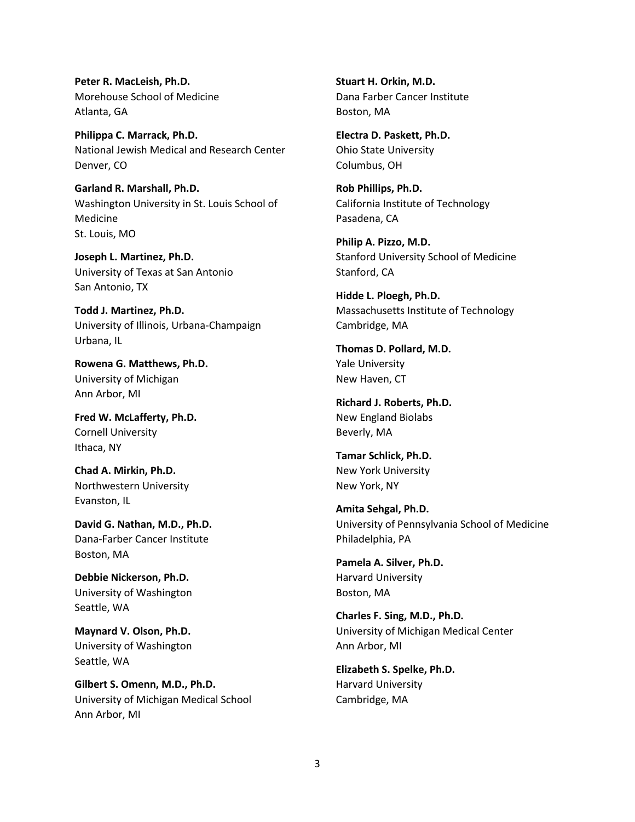**Peter R. MacLeish, Ph.D.** Morehouse School of Medicine Atlanta, GA

**Philippa C. Marrack, Ph.D.** National Jewish Medical and Research Center Denver, CO

**Garland R. Marshall, Ph.D.** Washington University in St. Louis School of Medicine St. Louis, MO

**Joseph L. Martinez, Ph.D.** University of Texas at San Antonio San Antonio, TX

**Todd J. Martinez, Ph.D.** University of Illinois, Urbana-Champaign Urbana, IL

**Rowena G. Matthews, Ph.D.** University of Michigan Ann Arbor, MI

**Fred W. McLafferty, Ph.D.** Cornell University Ithaca, NY

**Chad A. Mirkin, Ph.D.** Northwestern University Evanston, IL

**David G. Nathan, M.D., Ph.D.** Dana-Farber Cancer Institute Boston, MA

**Debbie Nickerson, Ph.D.** University of Washington Seattle, WA

**Maynard V. Olson, Ph.D.** University of Washington Seattle, WA

**Gilbert S. Omenn, M.D., Ph.D.** University of Michigan Medical School Ann Arbor, MI

**Stuart H. Orkin, M.D.** Dana Farber Cancer Institute Boston, MA

**Electra D. Paskett, Ph.D.** Ohio State University Columbus, OH

**Rob Phillips, Ph.D.** California Institute of Technology Pasadena, CA

**Philip A. Pizzo, M.D.** Stanford University School of Medicine Stanford, CA

**Hidde L. Ploegh, Ph.D.** Massachusetts Institute of Technology Cambridge, MA

**Thomas D. Pollard, M.D.** Yale University New Haven, CT

**Richard J. Roberts, Ph.D.** New England Biolabs Beverly, MA

**Tamar Schlick, Ph.D.** New York University New York, NY

**Amita Sehgal, Ph.D.** University of Pennsylvania School of Medicine Philadelphia, PA

**Pamela A. Silver, Ph.D.** Harvard University Boston, MA

**Charles F. Sing, M.D., Ph.D.** University of Michigan Medical Center Ann Arbor, MI

**Elizabeth S. Spelke, Ph.D.** Harvard University Cambridge, MA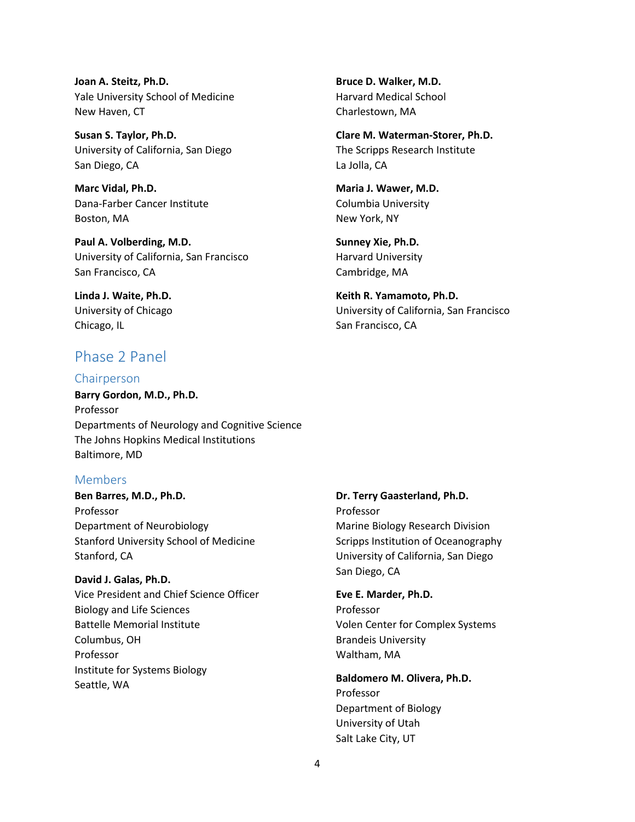**Joan A. Steitz, Ph.D.** Yale University School of Medicine New Haven, CT

**Susan S. Taylor, Ph.D.** University of California, San Diego San Diego, CA

**Marc Vidal, Ph.D.** Dana-Farber Cancer Institute Boston, MA

**Paul A. Volberding, M.D.** University of California, San Francisco San Francisco, CA

**Linda J. Waite, Ph.D.** University of Chicago Chicago, IL

# Phase 2 Panel

#### Chairperson

**Barry Gordon, M.D., Ph.D.** Professor Departments of Neurology and Cognitive Science The Johns Hopkins Medical Institutions Baltimore, MD

#### Members

**Ben Barres, M.D., Ph.D.** Professor Department of Neurobiology Stanford University School of Medicine Stanford, CA

#### **David J. Galas, Ph.D.**

Vice President and Chief Science Officer Biology and Life Sciences Battelle Memorial Institute Columbus, OH Professor Institute for Systems Biology Seattle, WA

**Bruce D. Walker, M.D.** Harvard Medical School Charlestown, MA

**Clare M. Waterman-Storer, Ph.D.** The Scripps Research Institute La Jolla, CA

**Maria J. Wawer, M.D.** Columbia University New York, NY

**Sunney Xie, Ph.D.** Harvard University Cambridge, MA

**Keith R. Yamamoto, Ph.D.** University of California, San Francisco San Francisco, CA

**Dr. Terry Gaasterland, Ph.D.** Professor Marine Biology Research Division Scripps Institution of Oceanography University of California, San Diego San Diego, CA

## **Eve E. Marder, Ph.D.** Professor

Volen Center for Complex Systems Brandeis University Waltham, MA

**Baldomero M. Olivera, Ph.D.** Professor Department of Biology University of Utah Salt Lake City, UT